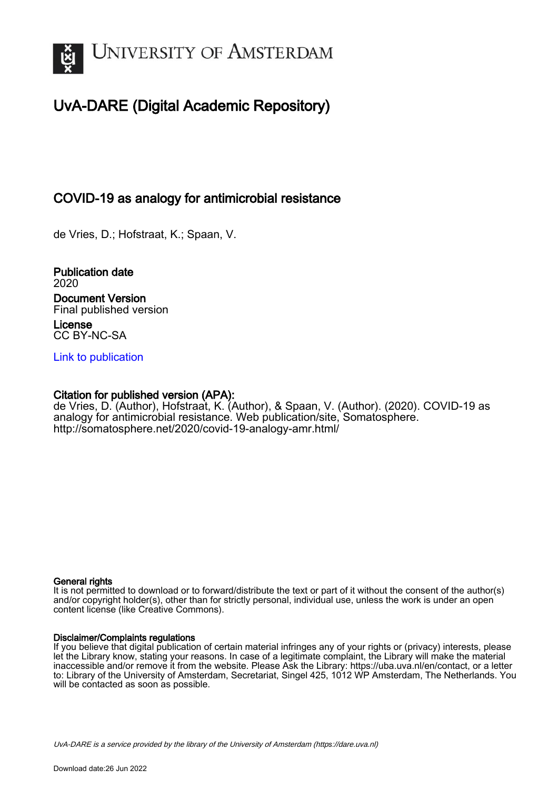

# UvA-DARE (Digital Academic Repository)

## COVID-19 as analogy for antimicrobial resistance

de Vries, D.; Hofstraat, K.; Spaan, V.

Publication date 2020 Document Version Final published version License CC BY-NC-SA

[Link to publication](https://dare.uva.nl/personal/pure/en/publications/covid19-as-analogy-for-antimicrobial-resistance(c8bd2dd0-0865-4558-a272-22669df6fc03).html)

## Citation for published version (APA):

de Vries, D. (Author), Hofstraat, K. (Author), & Spaan, V. (Author). (2020). COVID-19 as analogy for antimicrobial resistance. Web publication/site, Somatosphere. <http://somatosphere.net/2020/covid-19-analogy-amr.html/>

#### General rights

It is not permitted to download or to forward/distribute the text or part of it without the consent of the author(s) and/or copyright holder(s), other than for strictly personal, individual use, unless the work is under an open content license (like Creative Commons).

### Disclaimer/Complaints regulations

If you believe that digital publication of certain material infringes any of your rights or (privacy) interests, please let the Library know, stating your reasons. In case of a legitimate complaint, the Library will make the material inaccessible and/or remove it from the website. Please Ask the Library: https://uba.uva.nl/en/contact, or a letter to: Library of the University of Amsterdam, Secretariat, Singel 425, 1012 WP Amsterdam, The Netherlands. You will be contacted as soon as possible.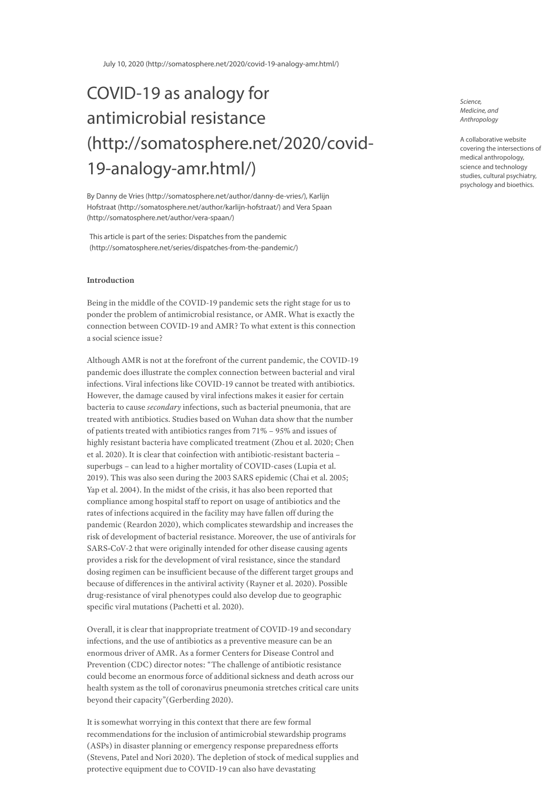July 10, 2020 [\(http://somatosphere.net/2020/covid-19-analogy-amr.html/\)](http://somatosphere.net/2020/covid-19-analogy-amr.html/)

# COVID-19 as analogy for antimicrobial resistance [\(http://somatosphere.net/2020/covid-](http://somatosphere.net/2020/covid-19-analogy-amr.html/)19-analogy-amr.html/)

By Danny de Vries [\(http://somatosphere.net/author/danny-de-vries/\),](http://somatosphere.net/author/danny-de-vries/) Karlijn Hofstraat [\(http://somatosphere.net/author/karlijn-hofstraat/\)](http://somatosphere.net/author/karlijn-hofstraat/) and Vera Spaan (http://somatosphere.net/author/vera-spaan/)

This article is part of the series: Dispatches from the pandemic [\(http://somatosphere.net/series/dispatches-from-the-pandemic/\)](http://somatosphere.net/series/dispatches-from-the-pandemic/)

#### **Introduction**

Being in the middle of the COVID-19 pandemic sets the right stage for us to ponder the problem of antimicrobial resistance, or AMR. What is exactly the connection between COVID-19 and AMR? To what extent is this connection a social science issue?

Although AMR is not at the forefront of the current pandemic, the COVID-19 pandemic does illustrate the complex connection between bacterial and viral infections. Viral infections like COVID-19 cannot be treated with antibiotics. However, the damage caused by viral infections makes it easier for certain bacteria to cause *secondary* infections, such as bacterial pneumonia, that are treated with antibiotics. Studies based on Wuhan data show that the number of patients treated with antibiotics ranges from 71% – 95% and issues of highly resistant bacteria have complicated treatment (Zhou et al. 2020; Chen et al. 2020). It is clear that coinfection with antibiotic-resistant bacteria – superbugs – can lead to a higher mortality of COVID-cases (Lupia et al. 2019). This was also seen during the 2003 SARS epidemic (Chai et al. 2005; Yap et al. 2004). In the midst of the crisis, it has also been reported that compliance among hospital staff to report on usage of antibiotics and the rates of infections acquired in the facility may have fallen off during the pandemic (Reardon 2020), which complicates stewardship and increases the risk of development of bacterial resistance. Moreover, the use of antivirals for SARS‐CoV-2 that were originally intended for other disease causing agents provides a risk for the development of viral resistance, since the standard dosing regimen can be insufficient because of the different target groups and because of differences in the antiviral activity (Rayner et al. 2020). Possible drug-resistance of viral phenotypes could also develop due to geographic specific viral mutations (Pachetti et al. 2020).

Overall, it is clear that inappropriate treatment of COVID-19 and secondary infections, and the use of antibiotics as a preventive measure can be an enormous driver of AMR. As a former Centers for Disease Control and Prevention (CDC) director notes: "The challenge of antibiotic resistance could become an enormous force of additional sickness and death across our health system as the toll of coronavirus pneumonia stretches critical care units beyond their capacity"(Gerberding 2020).

It is somewhat worrying in this context that there are few formal recommendations for the inclusion of antimicrobial stewardship programs (ASPs) in disaster planning or emergency response preparedness efforts (Stevens, Patel and Nori 2020). The depletion of stock of medical supplies and protective equipment due to COVID-19 can also have devastating

Science, Medicine, and Anthropology

A collaborative website covering the intersections of medical anthropology, science and technology studies, cultural psychiatry, psychology and bioethics.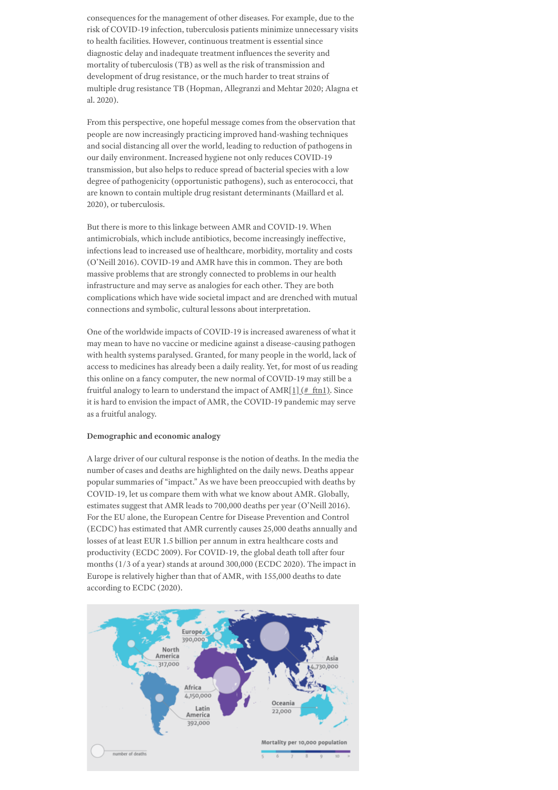consequences for the management of other diseases. For example, due to the risk of COVID-19 infection, tuberculosis patients minimize unnecessary visits to health facilities. However, continuous treatment is essential since diagnostic delay and inadequate treatment influences the severity and mortality of tuberculosis (TB) as well as the risk of transmission and development of drug resistance, or the much harder to treat strains of multiple drug resistance TB (Hopman, Allegranzi and Mehtar 2020; Alagna et al. 2020).

From this perspective, one hopeful message comes from the observation that people are now increasingly practicing improved hand-washing techniques and social distancing all over the world, leading to reduction of pathogens in our daily environment. Increased hygiene not only reduces COVID-19 transmission, but also helps to reduce spread of bacterial species with a low degree of pathogenicity (opportunistic pathogens), such as enterococci, that are known to contain multiple drug resistant determinants (Maillard et al. 2020), or tuberculosis.

But there is more to this linkage between AMR and COVID-19. When antimicrobials, which include antibiotics, become increasingly ineffective, infections lead to increased use of healthcare, morbidity, mortality and costs (O'Neill 2016). COVID-19 and AMR have this in common. They are both massive problems that are strongly connected to problems in our health infrastructure and may serve as analogies for each other. They are both complications which have wide societal impact and are drenched with mutual connections and symbolic, cultural lessons about interpretation.

One of the worldwide impacts of COVID-19 is increased awareness of what it may mean to have no vaccine or medicine against a disease-causing pathogen with health systems paralysed. Granted, for many people in the world, lack of access to medicines has already been a daily reality. Yet, for most of us reading this online on a fancy computer, the new normal of COVID-19 may still be a fruitful analogy to learn to understand the impact of AMR[ $1$ ] (# ftn1). Since it is hard to envision the impact of AMR, the COVID-19 pandemic may serve as a fruitful analogy.

#### **Demographic and economic analogy**

A large driver of our cultural response is the notion of deaths. In the media the number of cases and deaths are highlighted on the daily news. Deaths appear popular summaries of "impact." As we have been preoccupied with deaths by COVID-19, let us compare them with what we know about AMR. Globally, estimates suggest that AMR leads to 700,000 deaths per year (O'Neill 2016). For the EU alone, the European Centre for Disease Prevention and Control (ECDC) has estimated that AMR currently causes 25,000 deaths annually and losses of at least EUR 1.5 billion per annum in extra healthcare costs and productivity (ECDC 2009). For COVID-19, the global death toll after four months (1/3 of a year) stands at around 300,000 (ECDC 2020). The impact in Europe is relatively higher than that of AMR, with 155,000 deaths to date according to ECDC (2020).

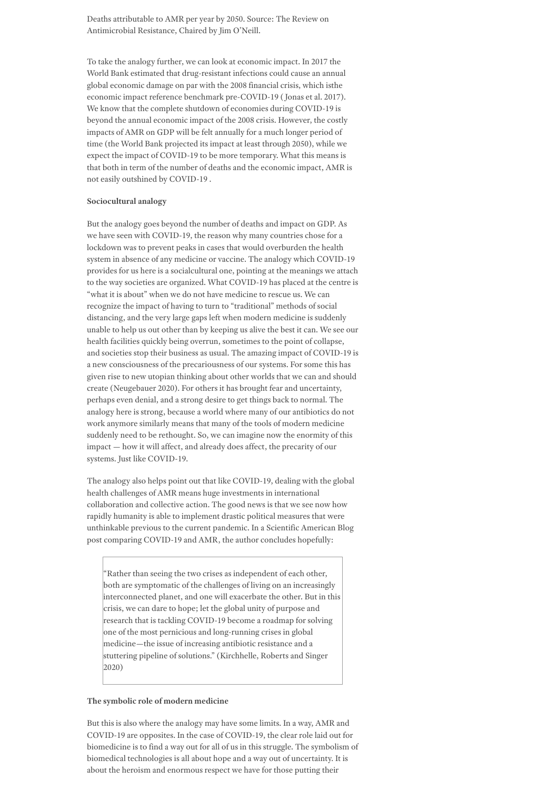Deaths attributable to AMR per year by 2050. Source: The Review on Antimicrobial Resistance, Chaired by Jim O'Neill.

To take the analogy further, we can look at economic impact. In 2017 the World Bank estimated that drug-resistant infections could cause an annual global economic damage on par with the 2008 financial crisis, which isthe economic impact reference benchmark pre-COVID-19 (Jonas et al. 2017). We know that the complete shutdown of economies during COVID-19 is beyond the annual economic impact of the 2008 crisis. However, the costly impacts of AMR on GDP will be felt annually for a much longer period of time (the World Bank projected its impact at least through 2050), while we expect the impact of COVID-19 to be more temporary. What this means is that both in term of the number of deaths and the economic impact, AMR is not easily outshined by COVID-19 .

#### **Sociocultural analogy**

But the analogy goes beyond the number of deaths and impact on GDP. As we have seen with COVID-19, the reason why many countries chose for a lockdown was to prevent peaks in cases that would overburden the health system in absence of any medicine or vaccine. The analogy which COVID-19 provides for us here is a socialcultural one, pointing at the meanings we attach to the way societies are organized. What COVID-19 has placed at the centre is "what it is about" when we do not have medicine to rescue us. We can recognize the impact of having to turn to "traditional" methods of social distancing, and the very large gaps left when modern medicine is suddenly unable to help us out other than by keeping us alive the best it can. We see our health facilities quickly being overrun, sometimes to the point of collapse, and societies stop their business as usual. The amazing impact of COVID-19 is a new consciousness of the precariousness of our systems. For some this has given rise to new utopian thinking about other worlds that we can and should create (Neugebauer 2020). For others it has brought fear and uncertainty, perhaps even denial, and a strong desire to get things back to normal. The analogy here is strong, because a world where many of our antibiotics do not work anymore similarly means that many of the tools of modern medicine suddenly need to be rethought. So, we can imagine now the enormity of this impact — how it will affect, and already does affect, the precarity of our systems. Just like COVID-19.

The analogy also helps point out that like COVID-19, dealing with the global health challenges of AMR means huge investments in international collaboration and collective action. The good news is that we see now how rapidly humanity is able to implement drastic political measures that were unthinkable previous to the current pandemic. In a Scientific American Blog post comparing COVID-19 and AMR, the author concludes hopefully:

"Rather than seeing the two crises as independent of each other, both are symptomatic of the challenges of living on an increasingly interconnected planet, and one will exacerbate the other. But in this crisis, we can dare to hope; let the global unity of purpose and research that is tackling COVID-19 become a roadmap for solving one of the most pernicious and long-running crises in global medicine—the issue of increasing antibiotic resistance and a stuttering pipeline of solutions." (Kirchhelle, Roberts and Singer 2020)

#### **The symbolic role of modern medicine**

But this is also where the analogy may have some limits. In a way, AMR and COVID-19 are opposites. In the case of COVID-19, the clear role laid out for biomedicine is to find a way out for all of us in this struggle. The symbolism of biomedical technologies is all about hope and a way out of uncertainty. It is about the heroism and enormous respect we have for those putting their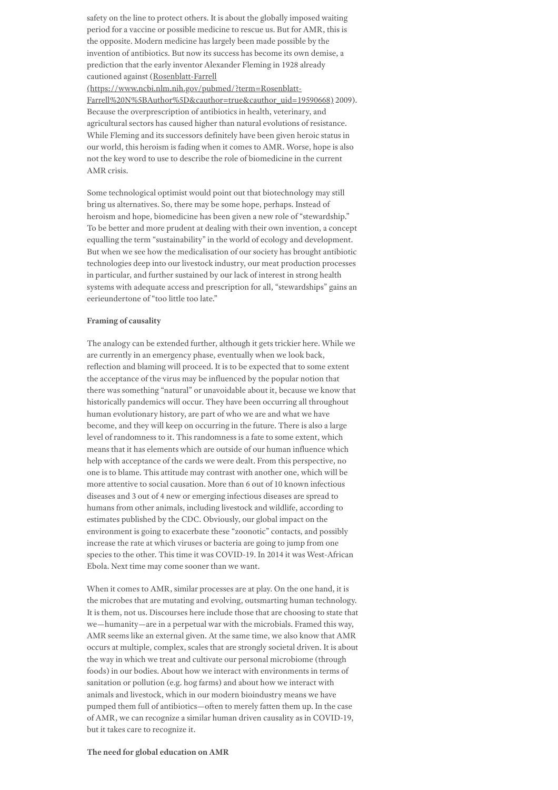safety on the line to protect others. It is about the globally imposed waiting period for a vaccine or possible medicine to rescue us. But for AMR, this is the opposite. Modern medicine has largely been made possible by the invention of antibiotics. But now its success has become its own demise, a prediction that the early inventor Alexander Fleming in 1928 already cautioned against (Rosenblatt-Farrell

(https://www.ncbi.nlm.nih.gov/pubmed/?term=Rosenblatt-[Farrell%20N%5BAuthor%5D&cauthor=true&cauthor\\_uid=19590668\)](https://www.ncbi.nlm.nih.gov/pubmed/?term=Rosenblatt-Farrell%20N%5BAuthor%5D&cauthor=true&cauthor_uid=19590668) 2009). Because the overprescription of antibiotics in health, veterinary, and agricultural sectors has caused higher than natural evolutions of resistance. While Fleming and its successors definitely have been given heroic status in our world, this heroism is fading when it comes to AMR. Worse, hope is also not the key word to use to describe the role of biomedicine in the current AMR crisis.

Some technological optimist would point out that biotechnology may still bring us alternatives. So, there may be some hope, perhaps. Instead of heroism and hope, biomedicine has been given a new role of "stewardship." To be better and more prudent at dealing with their own invention, a concept equalling the term "sustainability" in the world of ecology and development. But when we see how the medicalisation of our society has brought antibiotic technologies deep into our livestock industry, our meat production processes in particular, and further sustained by our lack of interest in strong health systems with adequate access and prescription for all, "stewardships" gains an eerieundertone of "too little too late."

#### **Framing of causality**

The analogy can be extended further, although it gets trickier here. While we are currently in an emergency phase, eventually when we look back, reflection and blaming will proceed. It is to be expected that to some extent the acceptance of the virus may be influenced by the popular notion that there was something "natural" or unavoidable about it, because we know that historically pandemics will occur. They have been occurring all throughout human evolutionary history, are part of who we are and what we have become, and they will keep on occurring in the future. There is also a large level of randomness to it. This randomness is a fate to some extent, which means that it has elements which are outside of our human influence which help with acceptance of the cards we were dealt. From this perspective, no one is to blame. This attitude may contrast with another one, which will be more attentive to social causation. More than 6 out of 10 known infectious diseases and 3 out of 4 new or emerging infectious diseases are spread to humans from other animals, including livestock and wildlife, according to estimates published by the CDC. Obviously, our global impact on the environment is going to exacerbate these "zoonotic" contacts, and possibly increase the rate at which viruses or bacteria are going to jump from one species to the other. This time it was COVID-19. In 2014 it was West-African Ebola. Next time may come sooner than we want.

When it comes to AMR, similar processes are at play. On the one hand, it is the microbes that are mutating and evolving, outsmarting human technology. It is them, not us. Discourses here include those that are choosing to state that we—humanity—are in a perpetual war with the microbials. Framed this way, AMR seems like an external given. At the same time, we also know that AMR occurs at multiple, complex, scales that are strongly societal driven. It is about the way in which we treat and cultivate our personal microbiome (through foods) in our bodies. About how we interact with environments in terms of sanitation or pollution (e.g. hog farms) and about how we interact with animals and livestock, which in our modern bioindustry means we have pumped them full of antibiotics—often to merely fatten them up. In the case of AMR, we can recognize a similar human driven causality as in COVID-19, but it takes care to recognize it.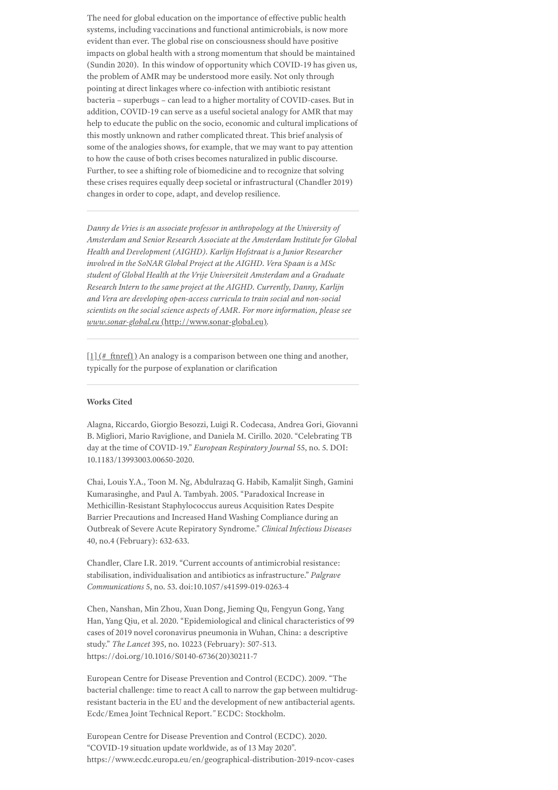The need for global education on the importance of effective public health systems, including vaccinations and functional antimicrobials, is now more evident than ever. The global rise on consciousness should have positive impacts on global health with a strong momentum that should be maintained (Sundin 2020). In this window of opportunity which COVID-19 has given us, the problem of AMR may be understood more easily. Not only through pointing at direct linkages where co-infection with antibiotic resistant bacteria – superbugs – can lead to a higher mortality of COVID-cases. But in addition, COVID-19 can serve as a useful societal analogy for AMR that may help to educate the public on the socio, economic and cultural implications of this mostly unknown and rather complicated threat. This brief analysis of some of the analogies shows, for example, that we may want to pay attention to how the cause of both crises becomes naturalized in public discourse. Further, to see a shifting role of biomedicine and to recognize that solving these crises requires equally deep societal or infrastructural (Chandler 2019) changes in order to cope, adapt, and develop resilience.

*Danny de Vries is an associate professor in anthropology at the University of Amsterdam and Senior Research Associate at the Amsterdam Institute for Global Health and Development (AIGHD). Karlijn Hofstraat is a Junior Researcher involved in the SoNAR Global Project at the AIGHD. Vera Spaan is a MSc student of Global Health at the Vrije Universiteit Amsterdam and a Graduate Research Intern to the same project at the AIGHD. Currently, Danny, Karlijn and Vera are developing open-access curricula to train social and non-social scientists on the social science aspects of AMR. For more information, please see www.sonar-global.eu* [\(http://www.sonar-global.eu\)](http://www.sonar-global.eu/)*.*

 $[1]$  (# ftnref1) An analogy is a comparison between one thing and another, typically for the purpose of explanation or clarification

#### **Works Cited**

Alagna, Riccardo, Giorgio Besozzi, Luigi R. Codecasa, Andrea Gori, Giovanni B. Migliori, Mario Raviglione, and Daniela M. Cirillo. 2020. "Celebrating TB day at the time of COVID-19." *European Respiratory Journal* 55, no. 5. DOI: 10.1183/13993003.00650-2020.

Chai, Louis Y.A., Toon M. Ng, Abdulrazaq G. Habib, Kamaljit Singh, Gamini Kumarasinghe, and Paul A. Tambyah. 2005. "Paradoxical Increase in Methicillin-Resistant Staphylococcus aureus Acquisition Rates Despite Barrier Precautions and Increased Hand Washing Compliance during an Outbreak of Severe Acute Repiratory Syndrome." *Clinical Infectious Diseases* 40, no.4 (February): 632-633.

Chandler, Clare I.R. 2019. "Current accounts of antimicrobial resistance: stabilisation, individualisation and antibiotics as infrastructure." *Palgrave Communications* 5, no. 53. doi:10.1057/s41599-019-0263-4

Chen, Nanshan, Min Zhou, Xuan Dong, Jieming Qu, Fengyun Gong, Yang Han, Yang Qiu, et al. 2020. "Epidemiological and clinical characteristics of 99 cases of 2019 novel coronavirus pneumonia in Wuhan, China: a descriptive study." *The Lancet* 395, no. 10223 (February): 507-513. https://doi.org/10.1016/S0140-6736(20)30211-7

European Centre for Disease Prevention and Control (ECDC). 2009. "The bacterial challenge: time to react A call to narrow the gap between multidrugresistant bacteria in the EU and the development of new antibacterial agents. Ecdc/Emea Joint Technical Report.*"* ECDC: Stockholm.

European Centre for Disease Prevention and Control (ECDC). 2020. "COVID-19 situation update worldwide, as of 13 May 2020". https://www.ecdc.europa.eu/en/geographical-distribution-2019-ncov-cases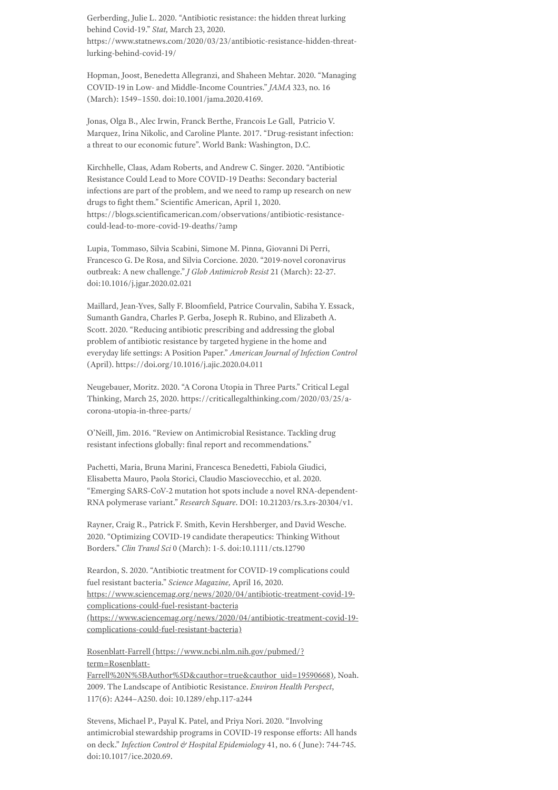Gerberding, Julie L. 2020. "Antibiotic resistance: the hidden threat lurking behind Covid-19." *Stat,* March 23, 2020. https://www.statnews.com/2020/03/23/antibiotic-resistance-hidden-threatlurking-behind-covid-19/

Hopman, Joost, Benedetta Allegranzi, and Shaheen Mehtar. 2020. "Managing COVID-19 in Low- and Middle-Income Countries." *JAMA* 323, no. 16 (March): 1549–1550. doi:10.1001/jama.2020.4169.

Jonas, Olga B., Alec Irwin, Franck Berthe, Francois Le Gall, Patricio V. Marquez, Irina Nikolic, and Caroline Plante. 2017. "Drug-resistant infection: a threat to our economic future". World Bank: Washington, D.C.

Kirchhelle, Claas, Adam Roberts, and Andrew C. Singer. 2020. "Antibiotic Resistance Could Lead to More COVID-19 Deaths: Secondary bacterial infections are part of the problem, and we need to ramp up research on new drugs to fight them." Scientific American, April 1, 2020. https://blogs.scientificamerican.com/observations/antibiotic-resistancecould-lead-to-more-covid-19-deaths/?amp

Lupia, Tommaso, Silvia Scabini, Simone M. Pinna, Giovanni Di Perri, Francesco G. De Rosa, and Silvia Corcione. 2020. "2019-novel coronavirus outbreak: A new challenge." *J Glob Antimicrob Resist* 21 (March): 22-27. doi:10.1016/j.jgar.2020.02.021

Maillard, Jean-Yves, Sally F. Bloomfield, Patrice Courvalin, Sabiha Y. Essack, Sumanth Gandra, Charles P. Gerba, Joseph R. Rubino, and Elizabeth A. Scott. 2020. "Reducing antibiotic prescribing and addressing the global problem of antibiotic resistance by targeted hygiene in the home and everyday life settings: A Position Paper." *American Journal of Infection Control* (April). https://doi.org/10.1016/j.ajic.2020.04.011

Neugebauer, Moritz. 2020. "A Corona Utopia in Three Parts." Critical Legal Thinking, March 25, 2020. https://criticallegalthinking.com/2020/03/25/acorona-utopia-in-three-parts/

O'Neill, Jim. 2016. "Review on Antimicrobial Resistance. Tackling drug resistant infections globally: final report and recommendations."

Pachetti, Maria, Bruna Marini, Francesca Benedetti, Fabiola Giudici, Elisabetta Mauro, Paola Storici, Claudio Masciovecchio, et al. 2020. "Emerging SARS-CoV-2 mutation hot spots include a novel RNA-dependent-RNA polymerase variant." *Research Square*. DOI: 10.21203/rs.3.rs-20304/v1.

Rayner, Craig R., Patrick F. Smith, Kevin Hershberger, and David Wesche. 2020. "Optimizing COVID-19 candidate therapeutics: Thinking Without Borders." *Clin Transl Sci* 0 (March): 1-5. doi:10.1111/cts.12790

Reardon, S. 2020. "Antibiotic treatment for COVID-19 complications could fuel resistant bacteria." *Science Magazine,* April 16, 2020. https://www.sciencemag.org/news/2020/04/antibiotic-treatment-covid-19 complications-could-fuel-resistant-bacteria [\(https://www.sciencemag.org/news/2020/04/antibiotic-treatment-covid-19](https://www.sciencemag.org/news/2020/04/antibiotic-treatment-covid-19-complications-could-fuel-resistant-bacteria) complications-could-fuel-resistant-bacteria)

Rosenblatt-Farrell (https://www.ncbi.nlm.nih.gov/pubmed/? term=Rosenblatt-

[Farrell%20N%5BAuthor%5D&cauthor=true&cauthor\\_uid=19590668\),](https://www.ncbi.nlm.nih.gov/pubmed/?term=Rosenblatt-Farrell%20N%5BAuthor%5D&cauthor=true&cauthor_uid=19590668) Noah. 2009. The Landscape of Antibiotic Resistance. *Environ Health Perspect*, 117(6): A244–A250. doi: 10.1289/ehp.117-a244

Stevens, Michael P., Payal K. Patel, and Priya Nori. 2020. "Involving antimicrobial stewardship programs in COVID-19 response efforts: All hands on deck." *Infection Control & Hospital Epidemiology* 41, no. 6 (June): 744-745. doi:10.1017/ice.2020.69.